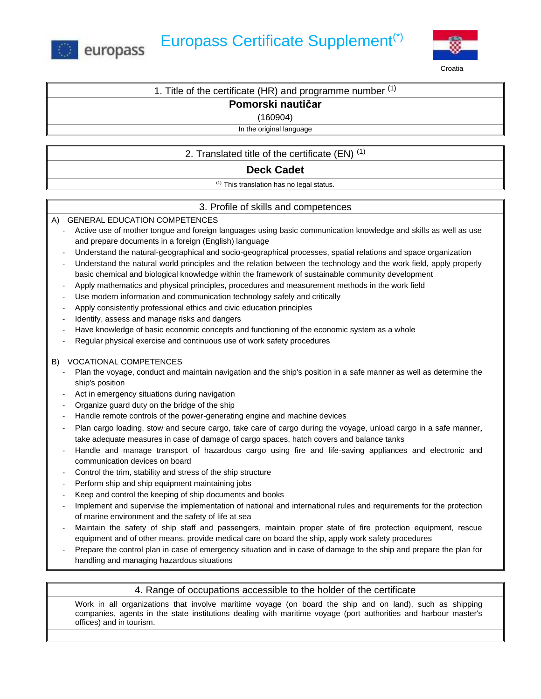



1. Title of the certificate (HR) and programme number  $(1)$ 

# **Pomorski nautičar**

#### (160904)

In the original language

# 2. Translated title of the certificate  $(EN)^{(1)}$

## **Deck Cadet**

(1) This translation has no legal status.

## 3. Profile of skills and competences

### A) GENERAL EDUCATION COMPETENCES

- Active use of mother tongue and foreign languages using basic communication knowledge and skills as well as use and prepare documents in a foreign (English) language
- Understand the natural-geographical and socio-geographical processes, spatial relations and space organization
- Understand the natural world principles and the relation between the technology and the work field, apply properly basic chemical and biological knowledge within the framework of sustainable community development
- Apply mathematics and physical principles, procedures and measurement methods in the work field
- Use modern information and communication technology safely and critically
- Apply consistently professional ethics and civic education principles
- Identify, assess and manage risks and dangers
- Have knowledge of basic economic concepts and functioning of the economic system as a whole
- Regular physical exercise and continuous use of work safety procedures

### B) VOCATIONAL COMPETENCES

- Plan the voyage, conduct and maintain navigation and the ship's position in a safe manner as well as determine the ship's position
- Act in emergency situations during navigation
- Organize guard duty on the bridge of the ship
- Handle remote controls of the power-generating engine and machine devices
- Plan cargo loading, stow and secure cargo, take care of cargo during the voyage, unload cargo in a safe manner, take adequate measures in case of damage of cargo spaces, hatch covers and balance tanks
- Handle and manage transport of hazardous cargo using fire and life-saving appliances and electronic and communication devices on board
- Control the trim, stability and stress of the ship structure
- Perform ship and ship equipment maintaining jobs
- Keep and control the keeping of ship documents and books
- Implement and supervise the implementation of national and international rules and requirements for the protection of marine environment and the safety of life at sea
- Maintain the safety of ship staff and passengers, maintain proper state of fire protection equipment, rescue equipment and of other means, provide medical care on board the ship, apply work safety procedures
- Prepare the control plan in case of emergency situation and in case of damage to the ship and prepare the plan for handling and managing hazardous situations

## 4. Range of occupations accessible to the holder of the certificate

Work in all organizations that involve maritime voyage (on board the ship and on land), such as shipping companies, agents in the state institutions dealing with maritime voyage (port authorities and harbour master's offices) and in tourism.